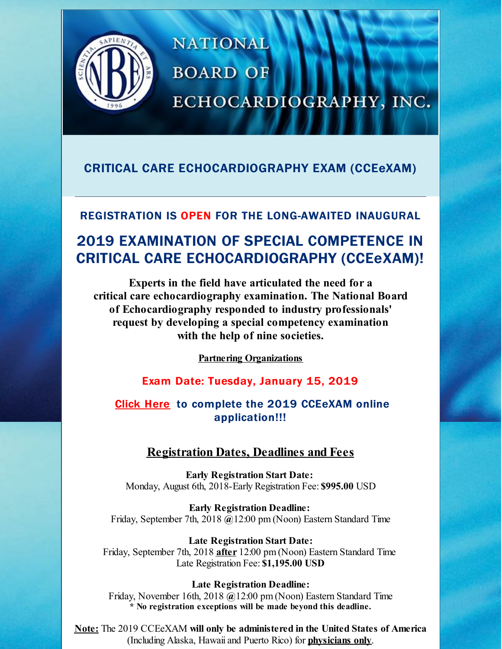

# **NATIONAL BOARD OF** ECHOCARDIOGRAPHY, INC.

## CRITICAL CARE ECHOCARDIOGRAPHY EXAM (CCEeXAM)

### REGISTRATION IS OPEN FOR THE LONG-AWAITED INAUGURAL

## 2019 EXAMINATION OF SPECIAL COMPETENCE IN CRITICAL CARE ECHOCARDIOGRAPHY (CCEeXAM)!

**Experts in the field have articulated the need for a critical care echocardiography examination. The National Board of Echocardiography responded to industry professionals' request by developing a special competency examination with the help of nine societies.**

**Partnering [Organizations](http://files.constantcontact.com/86e6a2a6be/a7078ba1-f53b-4497-8054-b6b3277af4a2.pdf)**

### Exam Date: Tuesday, January 15, 2019

[Click](https://echoboards.org/EchoBoards/Contacts/Sign_In.aspx?WebsiteKey=1768a08c-2cda-4914-877e-50389602f73b&LoginRedirect=true&returnurl=/EchoBoards/Create_Account/EchoBoards/Contacts/CreateAccount.aspx?hkey=a965db94-15e4-4aa8-837e-2d196ad22e9a) Here to complete the 2019 CCEeXAM online application!!!

### **Registration Dates, Deadlines and Fees**

**Early Registration Start Date:** Monday, August 6th, 2018-Early Registration Fee: **\$995.00** USD

**Early Registration Deadline:** Friday, September 7th, 2018 **@**12:00 pm (Noon) Eastern Standard Time

**Late Registration Start Date:** Friday, September 7th, 2018 **after** 12:00 pm (Noon) Eastern Standard Time Late Registration Fee: **\$1,195.00 USD**

#### **Late Registration Deadline:** Friday, November 16th, 2018 **@**12:00 pm (Noon) Eastern Standard Time **\* No registration exceptions will be made beyond this deadline.**

**Note:** The 2019 CCEeXAM **will only be administered in the United States of America** (Including Alaska, Hawaii and Puerto Rico) for **physicians only**.